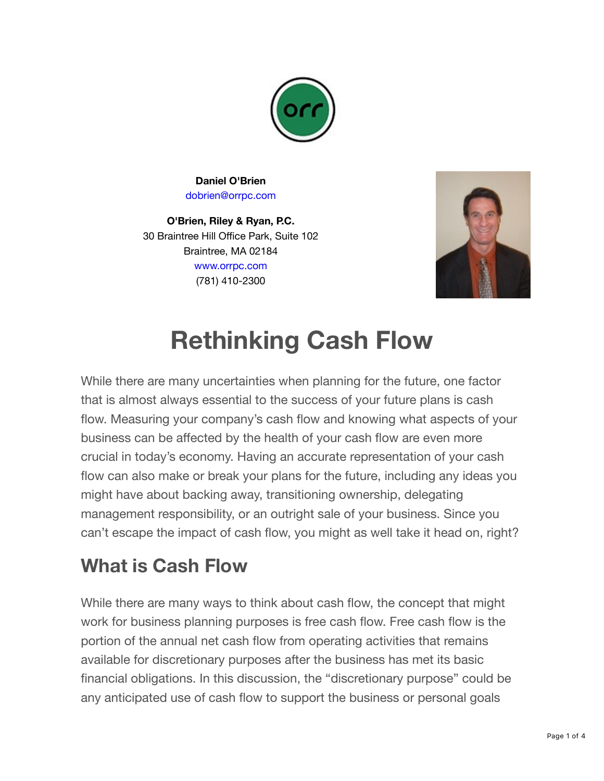

**Daniel O'Brien** [dobrien@orrpc.com](mailto:dobrien@orrpc.com)

**O'Brien, Riley & Ryan, P.C.** 30 Braintree Hill Office Park, Suite 102 Braintree, MA 02184 [www.orrpc.com](https://obrienrileyryanpc.createsend1.com/t/j-l-qkdhkjk-jhtrhlkrti-y/) (781) 410-2300



# **Rethinking Cash Flow**

While there are many uncertainties when planning for the future, one factor that is almost always essential to the success of your future plans is cash flow. Measuring your company's cash flow and knowing what aspects of your business can be affected by the health of your cash flow are even more crucial in today's economy. Having an accurate representation of your cash flow can also make or break your plans for the future, including any ideas you might have about backing away, transitioning ownership, delegating management responsibility, or an outright sale of your business. Since you can't escape the impact of cash flow, you might as well take it head on, right?

## **What is Cash Flow**

While there are many ways to think about cash flow, the concept that might work for business planning purposes is free cash flow. Free cash flow is the portion of the annual net cash flow from operating activities that remains available for discretionary purposes after the business has met its basic financial obligations. In this discussion, the "discretionary purpose" could be any anticipated use of cash flow to support the business or personal goals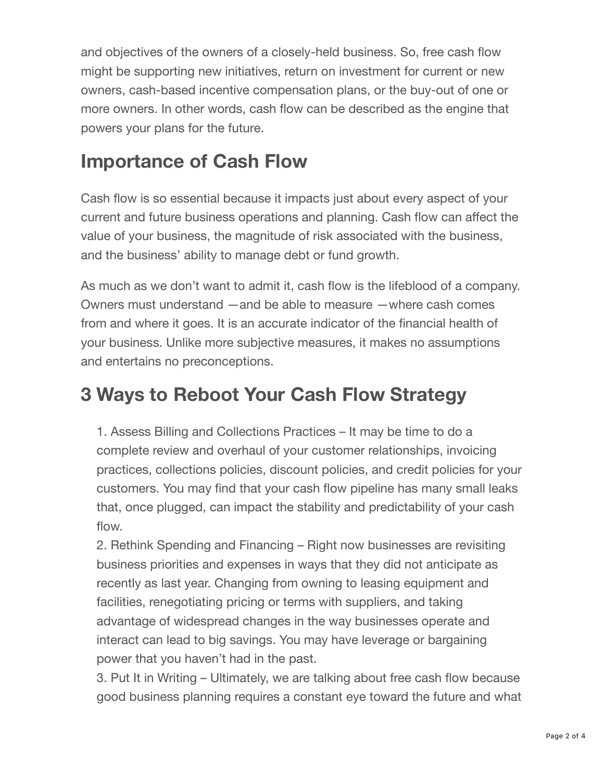and objectives of the owners of a closely-held business. So, free cash flow might be supporting new initiatives, return on investment for current or new owners, cash-based incentive compensation plans, or the buy-out of one or more owners. In other words, cash flow can be described as the engine that powers your plans for the future.

### **Importance of Cash Flow**

Cash flow is so essential because it impacts just about every aspect of your current and future business operations and planning. Cash flow can affect the value of your business, the magnitude of risk associated with the business, and the business' ability to manage debt or fund growth.

As much as we don't want to admit it, cash flow is the lifeblood of a company. Owners must understand —and be able to measure —where cash comes from and where it goes. It is an accurate indicator of the financial health of your business. Unlike more subjective measures, it makes no assumptions and entertains no preconceptions.

#### **3 Ways to Reboot Your Cash Flow Strategy**

1. Assess Billing and Collections Practices – It may be time to do a complete review and overhaul of your customer relationships, invoicing practices, collections policies, discount policies, and credit policies for your customers. You may find that your cash flow pipeline has many small leaks that, once plugged, can impact the stability and predictability of your cash flow.

2. Rethink Spending and Financing – Right now businesses are revisiting business priorities and expenses in ways that they did not anticipate as recently as last year. Changing from owning to leasing equipment and facilities, renegotiating pricing or terms with suppliers, and taking advantage of widespread changes in the way businesses operate and interact can lead to big savings. You may have leverage or bargaining power that you haven't had in the past.

3. Put It in Writing – Ultimately, we are talking about free cash flow because good business planning requires a constant eye toward the future and what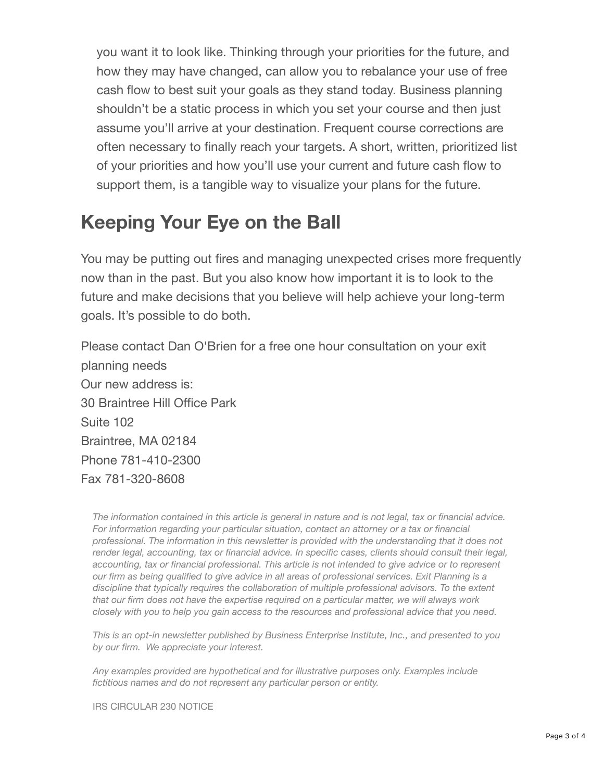you want it to look like. Thinking through your priorities for the future, and how they may have changed, can allow you to rebalance your use of free cash flow to best suit your goals as they stand today. Business planning shouldn't be a static process in which you set your course and then just assume you'll arrive at your destination. Frequent course corrections are often necessary to finally reach your targets. A short, written, prioritized list of your priorities and how you'll use your current and future cash flow to support them, is a tangible way to visualize your plans for the future.

#### **Keeping Your Eye on the Ball**

You may be putting out fires and managing unexpected crises more frequently now than in the past. But you also know how important it is to look to the future and make decisions that you believe will help achieve your long-term goals. It's possible to do both.

Please contact Dan O'Brien for a free one hour consultation on your exit planning needs Our new address is: 30 Braintree Hill Office Park Suite 102 Braintree, MA 02184 Phone 781-410-2300 Fax 781-320-8608

*The information contained in this article is general in nature and is not legal, tax or financial advice. For information regarding your particular situation, contact an attorney or a tax or financial professional. The information in this newsletter is provided with the understanding that it does not render legal, accounting, tax or financial advice. In specific cases, clients should consult their legal, accounting, tax or financial professional. This article is not intended to give advice or to represent our firm as being qualified to give advice in all areas of professional services. Exit Planning is a discipline that typically requires the collaboration of multiple professional advisors. To the extent that our firm does not have the expertise required on a particular matter, we will always work closely with you to help you gain access to the resources and professional advice that you need.*

*This is an opt-in newsletter published by Business Enterprise Institute, Inc., and presented to you by our firm. We appreciate your interest.*

*Any examples provided are hypothetical and for illustrative purposes only. Examples include fictitious names and do not represent any particular person or entity.*

IRS CIRCULAR 230 NOTICE